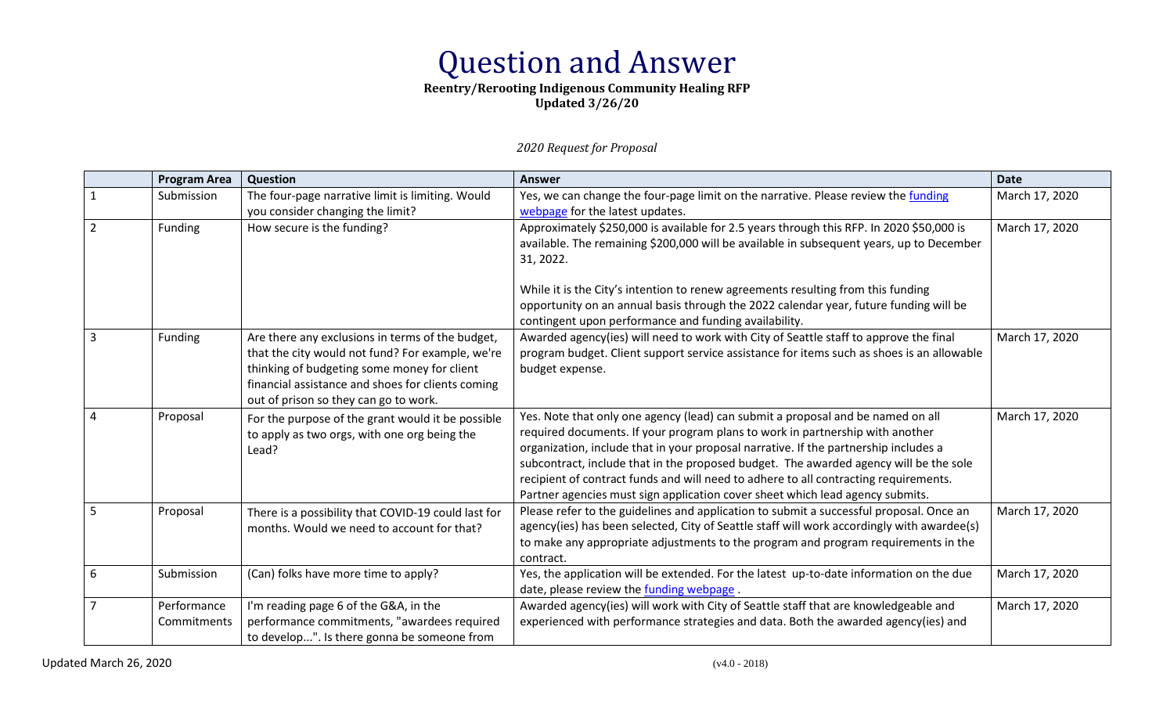# Question and Answer

### **Reentry/Rerooting Indigenous Community Healing RFP Updated 3/26/20**

*2020 Request for Proposal*

|                | <b>Program Area</b>        | Question                                                                                                                                                                                                                                          | <b>Answer</b>                                                                                                                                                                                                                                                                                                                                                                                                                                                                                                              | <b>Date</b>    |
|----------------|----------------------------|---------------------------------------------------------------------------------------------------------------------------------------------------------------------------------------------------------------------------------------------------|----------------------------------------------------------------------------------------------------------------------------------------------------------------------------------------------------------------------------------------------------------------------------------------------------------------------------------------------------------------------------------------------------------------------------------------------------------------------------------------------------------------------------|----------------|
|                | Submission                 | The four-page narrative limit is limiting. Would                                                                                                                                                                                                  | Yes, we can change the four-page limit on the narrative. Please review the funding                                                                                                                                                                                                                                                                                                                                                                                                                                         | March 17, 2020 |
|                |                            | you consider changing the limit?                                                                                                                                                                                                                  | webpage for the latest updates.                                                                                                                                                                                                                                                                                                                                                                                                                                                                                            |                |
| $\overline{2}$ | Funding                    | How secure is the funding?                                                                                                                                                                                                                        | Approximately \$250,000 is available for 2.5 years through this RFP. In 2020 \$50,000 is<br>available. The remaining \$200,000 will be available in subsequent years, up to December<br>31, 2022.                                                                                                                                                                                                                                                                                                                          | March 17, 2020 |
|                |                            |                                                                                                                                                                                                                                                   | While it is the City's intention to renew agreements resulting from this funding<br>opportunity on an annual basis through the 2022 calendar year, future funding will be<br>contingent upon performance and funding availability.                                                                                                                                                                                                                                                                                         |                |
| 3              | Funding                    | Are there any exclusions in terms of the budget,<br>that the city would not fund? For example, we're<br>thinking of budgeting some money for client<br>financial assistance and shoes for clients coming<br>out of prison so they can go to work. | Awarded agency(ies) will need to work with City of Seattle staff to approve the final<br>program budget. Client support service assistance for items such as shoes is an allowable<br>budget expense.                                                                                                                                                                                                                                                                                                                      | March 17, 2020 |
| 4              | Proposal                   | For the purpose of the grant would it be possible<br>to apply as two orgs, with one org being the<br>Lead?                                                                                                                                        | Yes. Note that only one agency (lead) can submit a proposal and be named on all<br>required documents. If your program plans to work in partnership with another<br>organization, include that in your proposal narrative. If the partnership includes a<br>subcontract, include that in the proposed budget. The awarded agency will be the sole<br>recipient of contract funds and will need to adhere to all contracting requirements.<br>Partner agencies must sign application cover sheet which lead agency submits. | March 17, 2020 |
| 5              | Proposal                   | There is a possibility that COVID-19 could last for<br>months. Would we need to account for that?                                                                                                                                                 | Please refer to the guidelines and application to submit a successful proposal. Once an<br>agency(ies) has been selected, City of Seattle staff will work accordingly with awardee(s)<br>to make any appropriate adjustments to the program and program requirements in the<br>contract.                                                                                                                                                                                                                                   | March 17, 2020 |
| 6              | Submission                 | (Can) folks have more time to apply?                                                                                                                                                                                                              | Yes, the application will be extended. For the latest up-to-date information on the due<br>date, please review the funding webpage.                                                                                                                                                                                                                                                                                                                                                                                        | March 17, 2020 |
| 7              | Performance<br>Commitments | I'm reading page 6 of the G&A, in the<br>performance commitments, "awardees required<br>to develop". Is there gonna be someone from                                                                                                               | Awarded agency(ies) will work with City of Seattle staff that are knowledgeable and<br>experienced with performance strategies and data. Both the awarded agency(ies) and                                                                                                                                                                                                                                                                                                                                                  | March 17, 2020 |